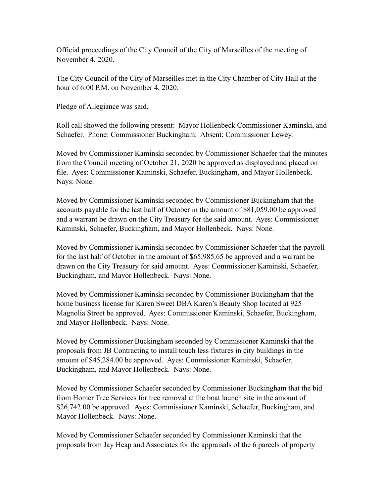Official proceedings of the City Council of the City of Marseilles of the meeting of November 4, 2020.

The City Council of the City of Marseilles met in the City Chamber of City Hall at the hour of 6:00 P.M. on November 4, 2020.

Pledge of Allegiance was said.

Roll call showed the following present: Mayor Hollenbeck Commissioner Kaminski, and Schaefer. Phone: Commissioner Buckingham. Absent: Commissioner Lewey.

Moved by Commissioner Kaminski seconded by Commissioner Schaefer that the minutes from the Council meeting of October 21, 2020 be approved as displayed and placed on file. Ayes: Commissioner Kaminski, Schaefer, Buckingham, and Mayor Hollenbeck. Nays: None.

Moved by Commissioner Kaminski seconded by Commissioner Buckingham that the accounts payable for the last half of October in the amount of \$81,059.00 be approved and a warrant be drawn on the City Treasury for the said amount. Ayes: Commissioner Kaminski, Schaefer, Buckingham, and Mayor Hollenbeck. Nays: None.

Moved by Commissioner Kaminski seconded by Commissioner Schaefer that the payroll for the last half of October in the amount of \$65,985.65 be approved and a warrant be drawn on the City Treasury for said amount. Ayes: Commissioner Kaminski, Schaefer, Buckingham, and Mayor Hollenbeck. Nays: None.

Moved by Commissioner Kaminski seconded by Commissioner Buckingham that the home business license for Karen Sweet DBA Karen's Beauty Shop located at 925 Magnolia Street be approved. Ayes: Commissioner Kaminski, Schaefer, Buckingham, and Mayor Hollenbeck. Nays: None.

Moved by Commissioner Buckingham seconded by Commissioner Kaminski that the proposals from JB Contracting to install touch less fixtures in city buildings in the amount of \$45,284.00 be approved. Ayes: Commissioner Kaminski, Schaefer, Buckingham, and Mayor Hollenbeck. Nays: None.

Moved by Commissioner Schaefer seconded by Commissioner Buckingham that the bid from Homer Tree Services for tree removal at the boat launch site in the amount of \$26,742.00 be approved. Ayes: Commissioner Kaminski, Schaefer, Buckingham, and Mayor Hollenbeck. Nays: None.

Moved by Commissioner Schaefer seconded by Commissioner Kaminski that the proposals from Jay Heap and Associates for the appraisals of the 6 parcels of property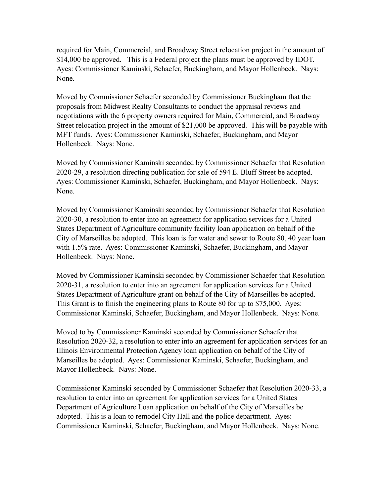required for Main, Commercial, and Broadway Street relocation project in the amount of \$14,000 be approved. This is a Federal project the plans must be approved by IDOT. Ayes: Commissioner Kaminski, Schaefer, Buckingham, and Mayor Hollenbeck. Nays: None.

Moved by Commissioner Schaefer seconded by Commissioner Buckingham that the proposals from Midwest Realty Consultants to conduct the appraisal reviews and negotiations with the 6 property owners required for Main, Commercial, and Broadway Street relocation project in the amount of \$21,000 be approved. This will be payable with MFT funds. Ayes: Commissioner Kaminski, Schaefer, Buckingham, and Mayor Hollenbeck. Nays: None.

Moved by Commissioner Kaminski seconded by Commissioner Schaefer that Resolution 2020-29, a resolution directing publication for sale of 594 E. Bluff Street be adopted. Ayes: Commissioner Kaminski, Schaefer, Buckingham, and Mayor Hollenbeck. Nays: None.

Moved by Commissioner Kaminski seconded by Commissioner Schaefer that Resolution 2020-30, a resolution to enter into an agreement for application services for a United States Department of Agriculture community facility loan application on behalf of the City of Marseilles be adopted. This loan is for water and sewer to Route 80, 40 year loan with 1.5% rate. Ayes: Commissioner Kaminski, Schaefer, Buckingham, and Mayor Hollenbeck. Nays: None.

Moved by Commissioner Kaminski seconded by Commissioner Schaefer that Resolution 2020-31, a resolution to enter into an agreement for application services for a United States Department of Agriculture grant on behalf of the City of Marseilles be adopted. This Grant is to finish the engineering plans to Route 80 for up to \$75,000. Ayes: Commissioner Kaminski, Schaefer, Buckingham, and Mayor Hollenbeck. Nays: None.

Moved to by Commissioner Kaminski seconded by Commissioner Schaefer that Resolution 2020-32, a resolution to enter into an agreement for application services for an Illinois Environmental Protection Agency loan application on behalf of the City of Marseilles be adopted. Ayes: Commissioner Kaminski, Schaefer, Buckingham, and Mayor Hollenbeck. Nays: None.

Commissioner Kaminski seconded by Commissioner Schaefer that Resolution 2020-33, a resolution to enter into an agreement for application services for a United States Department of Agriculture Loan application on behalf of the City of Marseilles be adopted. This is a loan to remodel City Hall and the police department. Ayes: Commissioner Kaminski, Schaefer, Buckingham, and Mayor Hollenbeck. Nays: None.